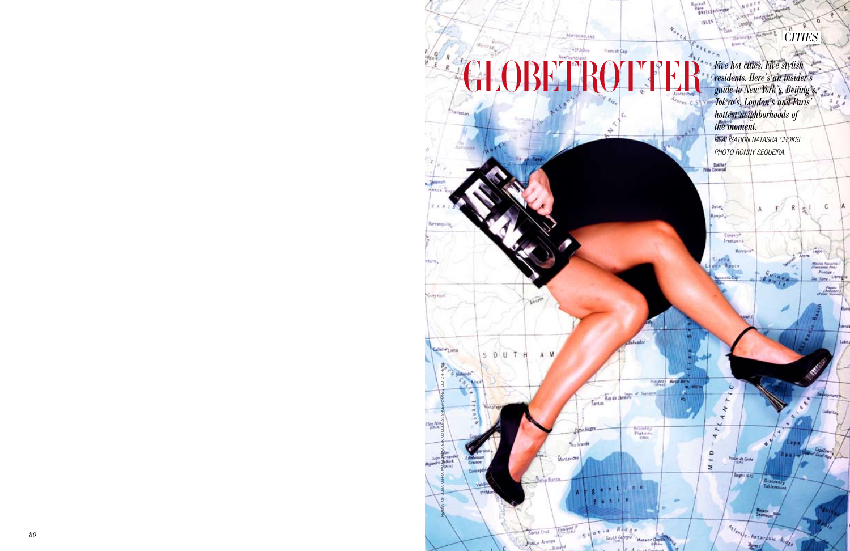Eastern *rive hot cities. Five stylish*<br>*residents. Here's an insider's guide to New York's, Beijing's, Tokyo's, London's and Paris' hottest neighborhoods of the moment.* 

3. Warren E

Reckell<br>Bank<br>Battspi ISLES

Ma Corent

Conskry<sup>n</sup><br>Freetownic

 $\omega$ 

**The de Conte** 

Gogh (194)

unscave<br>[Ablema

**State** 

Actent C. Antarctic Rider

 $\overline{\phantom{a}}$  $\sim$   $\mu$ 

 $\frac{1}{2}$ 

**AID** 

Monrovia

 $N_{o_{n_{\ell_{\lambda}}}}$ 

Insuface Handling

Braniley<br>Plateau<br>GBm



*REALISATION NATASHA CHOKSI photo RONNY SEQUEIRA.*

Đ

C*ITIES*

C

4,891

**Principe** as fone, Libres Sagale<br>(Equator)